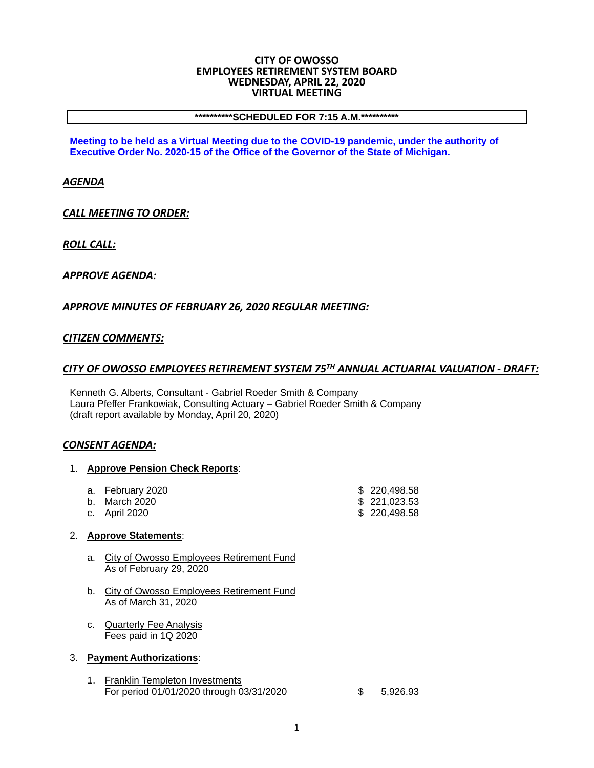#### **CITY OF OWOSSO EMPLOYEES RETIREMENT SYSTEM BOARD WEDNESDAY, APRIL 22, 2020 VIRTUAL MEETING**

#### **\*\*\*\*\*\*\*\*\*\*SCHEDULED FOR 7:15 A.M.\*\*\*\*\*\*\*\*\*\***

**Meeting to be held as a Virtual Meeting due to the COVID-19 pandemic, under the authority of Executive Order No. 2020-15 of the Office of the Governor of the State of Michigan.** 

### *AGENDA*

*CALL MEETING TO ORDER:*

*ROLL CALL:*

## *APPROVE AGENDA:*

## *APPROVE MINUTES OF FEBRUARY 26, 2020 REGULAR MEETING:*

## *CITIZEN COMMENTS:*

## *CITY OF OWOSSO EMPLOYEES RETIREMENT SYSTEM 75TH ANNUAL ACTUARIAL VALUATION ‐ DRAFT:*

Kenneth G. Alberts, Consultant - Gabriel Roeder Smith & Company Laura Pfeffer Frankowiak, Consulting Actuary – Gabriel Roeder Smith & Company (draft report available by Monday, April 20, 2020)

#### *CONSENT AGENDA:*

#### 1. **Approve Pension Check Reports**:

| a. February 2020 | \$220.498.58 |
|------------------|--------------|
| b. March 2020    | \$221.023.53 |
| c. April 2020    | \$220,498.58 |

# 2. **Approve Statements**:

- a. City of Owosso Employees Retirement Fund As of February 29, 2020
- b. City of Owosso Employees Retirement Fund As of March 31, 2020
- c. Quarterly Fee Analysis Fees paid in 1Q 2020

#### 3. **Payment Authorizations**:

1. Franklin Templeton Investments For period 01/01/2020 through 03/31/2020 \$ 5,926.93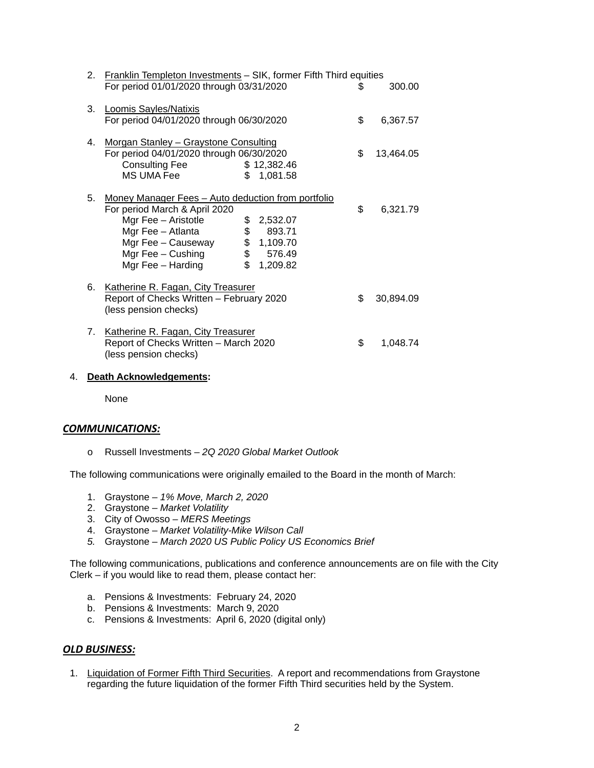|    | 2. Franklin Templeton Investments - SIK, former Fifth Third equities<br>For period 01/01/2020 through 03/31/2020                                                                                                                   |                                                      | S  | 300.00    |
|----|------------------------------------------------------------------------------------------------------------------------------------------------------------------------------------------------------------------------------------|------------------------------------------------------|----|-----------|
|    | 3. Loomis Sayles/Natixis<br>For period 04/01/2020 through 06/30/2020                                                                                                                                                               |                                                      | \$ | 6,367.57  |
|    | 4. Morgan Stanley - Graystone Consulting<br>For period 04/01/2020 through 06/30/2020<br><b>Consulting Fee</b><br>MS UMA Fee                                                                                                        | \$12,382.46<br>\$1,081.58                            | \$ | 13,464.05 |
| 5. | Money Manager Fees - Auto deduction from portfolio<br>For period March & April 2020<br>Mgr Fee - Aristotle<br>\$<br>$\mathbb S$<br>Mgr Fee - Atlanta<br>\$<br>\$<br>Mgr Fee - Causeway<br>Mgr Fee $-$ Cushing<br>Mgr Fee - Harding | 2,532.07<br>893.71<br>1,109.70<br>576.49<br>1,209.82 | \$ | 6,321.79  |
|    | 6. Katherine R. Fagan, City Treasurer<br>Report of Checks Written - February 2020<br>(less pension checks)                                                                                                                         |                                                      | \$ | 30,894.09 |
|    | 7. Katherine R. Fagan, City Treasurer<br>Report of Checks Written - March 2020<br>(less pension checks)                                                                                                                            |                                                      | \$ | 1,048.74  |

#### 4. **Death Acknowledgements:**

None

#### *COMMUNICATIONS:*

o Russell Investments – *2Q 2020 Global Market Outlook*

The following communications were originally emailed to the Board in the month of March:

- 1. Graystone *1% Move, March 2, 2020*
- 2. Graystone *Market Volatility*
- 3. City of Owosso *MERS Meetings*
- 4. Graystone *Market Volatility-Mike Wilson Call*
- *5.* Graystone *March 2020 US Public Policy US Economics Brief*

The following communications, publications and conference announcements are on file with the City Clerk – if you would like to read them, please contact her:

- a. Pensions & Investments: February 24, 2020
- b. Pensions & Investments: March 9, 2020
- c. Pensions & Investments: April 6, 2020 (digital only)

## *OLD BUSINESS:*

1. Liquidation of Former Fifth Third Securities. A report and recommendations from Graystone regarding the future liquidation of the former Fifth Third securities held by the System.